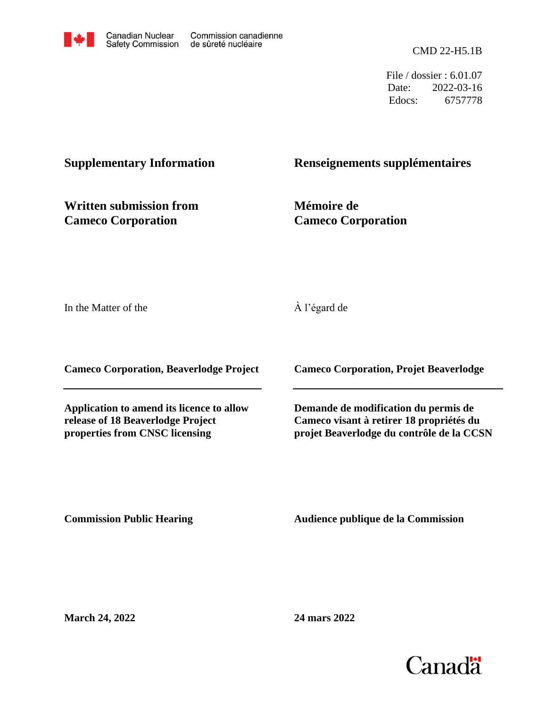CMD 22-H5.1B

File / dossier : 6.01.07 Date: 2022-03-16 Edocs: 6757778

# **Supplementary Information**

# **Renseignements supplémentaires**

**Written submission from Cameco Corporation**

**Mémoire de Cameco Corporation**

In the Matter of the

À l'égard de

**Cameco Corporation, Beaverlodge Project**

**Application to amend its licence to allow release of 18 Beaverlodge Project properties from CNSC licensing**

**Cameco Corporation, Projet Beaverlodge**

**Demande de modification du permis de Cameco visant à retirer 18 propriétés du projet Beaverlodge du contrôle de la CCSN**

**Commission Public Hearing**

**Audience publique de la Commission** 

**March 24, 2022**

**24 mars 2022**

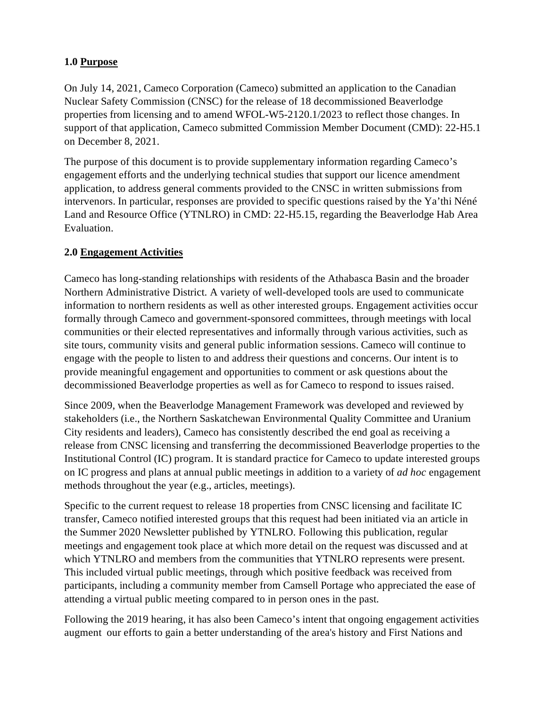## **1.0 Purpose**

On July 14, 2021, Cameco Corporation (Cameco) submitted an application to the Canadian Nuclear Safety Commission (CNSC) for the release of 18 decommissioned Beaverlodge properties from licensing and to amend WFOL-W5-2120.1/2023 to reflect those changes. In support of that application, Cameco submitted Commission Member Document (CMD): 22-H5.1 on December 8, 2021.

The purpose of this document is to provide supplementary information regarding Cameco's engagement efforts and the underlying technical studies that support our licence amendment application, to address general comments provided to the CNSC in written submissions from intervenors. In particular, responses are provided to specific questions raised by the Ya'thi Néné Land and Resource Office (YTNLRO) in CMD: 22-H5.15, regarding the Beaverlodge Hab Area Evaluation.

#### **2.0 Engagement Activities**

Cameco has long-standing relationships with residents of the Athabasca Basin and the broader Northern Administrative District. A variety of well-developed tools are used to communicate information to northern residents as well as other interested groups. Engagement activities occur formally through Cameco and government-sponsored committees, through meetings with local communities or their elected representatives and informally through various activities, such as site tours, community visits and general public information sessions. Cameco will continue to engage with the people to listen to and address their questions and concerns. Our intent is to provide meaningful engagement and opportunities to comment or ask questions about the decommissioned Beaverlodge properties as well as for Cameco to respond to issues raised.

Since 2009, when the Beaverlodge Management Framework was developed and reviewed by stakeholders (i.e., the Northern Saskatchewan Environmental Quality Committee and Uranium City residents and leaders), Cameco has consistently described the end goal as receiving a release from CNSC licensing and transferring the decommissioned Beaverlodge properties to the Institutional Control (IC) program. It is standard practice for Cameco to update interested groups on IC progress and plans at annual public meetings in addition to a variety of *ad hoc* engagement methods throughout the year (e.g., articles, meetings).

Specific to the current request to release 18 properties from CNSC licensing and facilitate IC transfer, Cameco notified interested groups that this request had been initiated via an article in the Summer 2020 Newsletter published by YTNLRO. Following this publication, regular meetings and engagement took place at which more detail on the request was discussed and at which YTNLRO and members from the communities that YTNLRO represents were present. This included virtual public meetings, through which positive feedback was received from participants, including a community member from Camsell Portage who appreciated the ease of attending a virtual public meeting compared to in person ones in the past.

Following the 2019 hearing, it has also been Cameco's intent that ongoing engagement activities augment our efforts to gain a better understanding of the area's history and First Nations and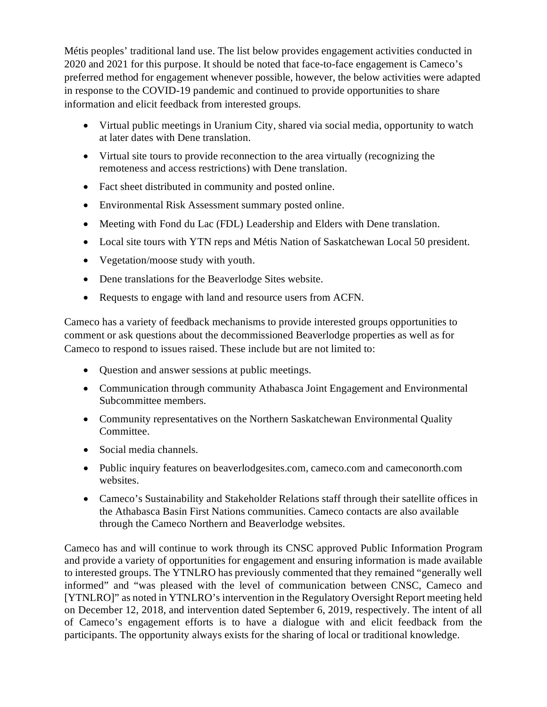Métis peoples' traditional land use. The list below provides engagement activities conducted in 2020 and 2021 for this purpose. It should be noted that face-to-face engagement is Cameco's preferred method for engagement whenever possible, however, the below activities were adapted in response to the COVID-19 pandemic and continued to provide opportunities to share information and elicit feedback from interested groups.

- Virtual public meetings in Uranium City, shared via social media, opportunity to watch at later dates with Dene translation.
- Virtual site tours to provide reconnection to the area virtually (recognizing the remoteness and access restrictions) with Dene translation.
- Fact sheet distributed in community and posted online.
- Environmental Risk Assessment summary posted online.
- Meeting with Fond du Lac (FDL) Leadership and Elders with Dene translation.
- Local site tours with YTN reps and Métis Nation of Saskatchewan Local 50 president.
- Vegetation/moose study with youth.
- Dene translations for the Beaverlodge Sites website.
- Requests to engage with land and resource users from ACFN.

Cameco has a variety of feedback mechanisms to provide interested groups opportunities to comment or ask questions about the decommissioned Beaverlodge properties as well as for Cameco to respond to issues raised. These include but are not limited to:

- Question and answer sessions at public meetings.
- Communication through community Athabasca Joint Engagement and Environmental Subcommittee members.
- Community representatives on the Northern Saskatchewan Environmental Quality Committee.
- Social media channels.
- Public inquiry features on beaverlodgesites.com, came co.com and came conorth.com websites.
- Cameco's Sustainability and Stakeholder Relations staff through their satellite offices in the Athabasca Basin First Nations communities. Cameco contacts are also available through the Cameco Northern and Beaverlodge websites.

Cameco has and will continue to work through its CNSC approved Public Information Program and provide a variety of opportunities for engagement and ensuring information is made available to interested groups. The YTNLRO has previously commented that they remained "generally well informed" and "was pleased with the level of communication between CNSC, Cameco and [YTNLRO]" as noted in YTNLRO's intervention in the Regulatory Oversight Report meeting held on December 12, 2018, and intervention dated September 6, 2019, respectively. The intent of all of Cameco's engagement efforts is to have a dialogue with and elicit feedback from the participants. The opportunity always exists for the sharing of local or traditional knowledge.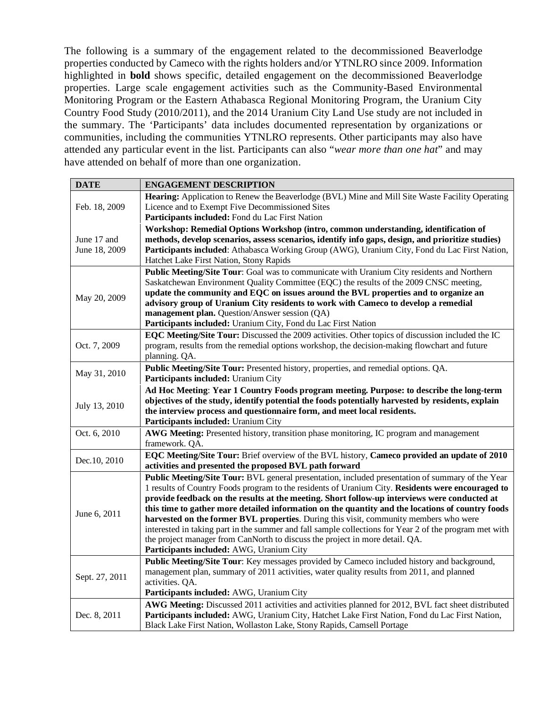The following is a summary of the engagement related to the decommissioned Beaverlodge properties conducted by Cameco with the rights holders and/or YTNLRO since 2009. Information highlighted in **bold** shows specific, detailed engagement on the decommissioned Beaverlodge properties. Large scale engagement activities such as the Community-Based Environmental Monitoring Program or the Eastern Athabasca Regional Monitoring Program, the Uranium City Country Food Study (2010/2011), and the 2014 Uranium City Land Use study are not included in the summary. The 'Participants' data includes documented representation by organizations or communities, including the communities YTNLRO represents. Other participants may also have attended any particular event in the list. Participants can also "*wear more than one hat*" and may have attended on behalf of more than one organization.

| <b>DATE</b>    | <b>ENGAGEMENT DESCRIPTION</b>                                                                                                                                            |  |
|----------------|--------------------------------------------------------------------------------------------------------------------------------------------------------------------------|--|
| Feb. 18, 2009  | Hearing: Application to Renew the Beaverlodge (BVL) Mine and Mill Site Waste Facility Operating                                                                          |  |
|                | Licence and to Exempt Five Decommissioned Sites                                                                                                                          |  |
|                | Participants included: Fond du Lac First Nation                                                                                                                          |  |
|                | Workshop: Remedial Options Workshop (intro, common understanding, identification of                                                                                      |  |
| June 17 and    | methods, develop scenarios, assess scenarios, identify info gaps, design, and prioritize studies)                                                                        |  |
| June 18, 2009  | Participants included: Athabasca Working Group (AWG), Uranium City, Fond du Lac First Nation,                                                                            |  |
|                | Hatchet Lake First Nation, Stony Rapids                                                                                                                                  |  |
|                | Public Meeting/Site Tour: Goal was to communicate with Uranium City residents and Northern                                                                               |  |
|                | Saskatchewan Environment Quality Committee (EQC) the results of the 2009 CNSC meeting,                                                                                   |  |
| May 20, 2009   | update the community and EQC on issues around the BVL properties and to organize an                                                                                      |  |
|                | advisory group of Uranium City residents to work with Cameco to develop a remedial                                                                                       |  |
|                | management plan. Question/Answer session (QA)                                                                                                                            |  |
|                | Participants included: Uranium City, Fond du Lac First Nation                                                                                                            |  |
|                | <b>EQC Meeting/Site Tour:</b> Discussed the 2009 activities. Other topics of discussion included the IC                                                                  |  |
| Oct. 7, 2009   | program, results from the remedial options workshop, the decision-making flowchart and future                                                                            |  |
|                | planning. QA.                                                                                                                                                            |  |
| May 31, 2010   | Public Meeting/Site Tour: Presented history, properties, and remedial options. QA.                                                                                       |  |
|                | Participants included: Uranium City                                                                                                                                      |  |
|                | Ad Hoc Meeting: Year 1 Country Foods program meeting. Purpose: to describe the long-term                                                                                 |  |
| July 13, 2010  | objectives of the study, identify potential the foods potentially harvested by residents, explain                                                                        |  |
|                | the interview process and questionnaire form, and meet local residents.                                                                                                  |  |
|                | Participants included: Uranium City                                                                                                                                      |  |
| Oct. 6, 2010   | AWG Meeting: Presented history, transition phase monitoring, IC program and management                                                                                   |  |
|                | framework. QA.                                                                                                                                                           |  |
| Dec.10, 2010   | EQC Meeting/Site Tour: Brief overview of the BVL history, Cameco provided an update of 2010                                                                              |  |
|                | activities and presented the proposed BVL path forward                                                                                                                   |  |
|                | Public Meeting/Site Tour: BVL general presentation, included presentation of summary of the Year                                                                         |  |
|                | 1 results of Country Foods program to the residents of Uranium City. Residents were encouraged to                                                                        |  |
|                | provide feedback on the results at the meeting. Short follow-up interviews were conducted at                                                                             |  |
| June 6, 2011   | this time to gather more detailed information on the quantity and the locations of country foods                                                                         |  |
|                | harvested on the former BVL properties. During this visit, community members who were                                                                                    |  |
|                | interested in taking part in the summer and fall sample collections for Year 2 of the program met with                                                                   |  |
|                | the project manager from CanNorth to discuss the project in more detail. QA.                                                                                             |  |
|                | Participants included: AWG, Uranium City                                                                                                                                 |  |
| Sept. 27, 2011 | Public Meeting/Site Tour: Key messages provided by Cameco included history and background,                                                                               |  |
|                | management plan, summary of 2011 activities, water quality results from 2011, and planned                                                                                |  |
|                | activities. QA.                                                                                                                                                          |  |
|                | Participants included: AWG, Uranium City                                                                                                                                 |  |
| Dec. 8, 2011   | AWG Meeting: Discussed 2011 activities and activities planned for 2012, BVL fact sheet distributed                                                                       |  |
|                |                                                                                                                                                                          |  |
|                | Participants included: AWG, Uranium City, Hatchet Lake First Nation, Fond du Lac First Nation,<br>Black Lake First Nation, Wollaston Lake, Stony Rapids, Camsell Portage |  |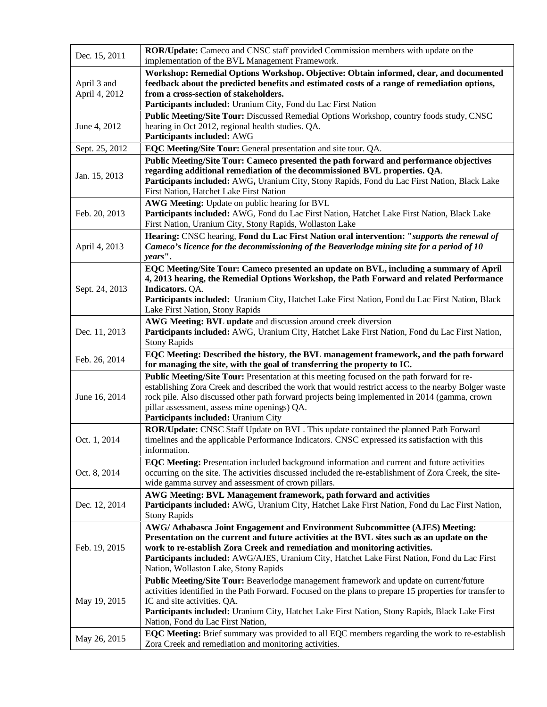| Dec. 15, 2011                | <b>ROR/Update:</b> Cameco and CNSC staff provided Commission members with update on the<br>implementation of the BVL Management Framework.                                                                                                                                                                                                                                                       |  |  |  |  |
|------------------------------|--------------------------------------------------------------------------------------------------------------------------------------------------------------------------------------------------------------------------------------------------------------------------------------------------------------------------------------------------------------------------------------------------|--|--|--|--|
| April 3 and<br>April 4, 2012 | Workshop: Remedial Options Workshop. Objective: Obtain informed, clear, and documented<br>feedback about the predicted benefits and estimated costs of a range of remediation options,<br>from a cross-section of stakeholders.<br>Participants included: Uranium City, Fond du Lac First Nation                                                                                                 |  |  |  |  |
| June 4, 2012                 | Public Meeting/Site Tour: Discussed Remedial Options Workshop, country foods study, CNSC<br>hearing in Oct 2012, regional health studies. QA.<br>Participants included: AWG                                                                                                                                                                                                                      |  |  |  |  |
| Sept. 25, 2012               | EQC Meeting/Site Tour: General presentation and site tour. QA.                                                                                                                                                                                                                                                                                                                                   |  |  |  |  |
| Jan. 15, 2013                | Public Meeting/Site Tour: Cameco presented the path forward and performance objectives<br>regarding additional remediation of the decommissioned BVL properties. QA.<br>Participants included: AWG, Uranium City, Stony Rapids, Fond du Lac First Nation, Black Lake<br>First Nation, Hatchet Lake First Nation                                                                                  |  |  |  |  |
| Feb. 20, 2013                | AWG Meeting: Update on public hearing for BVL<br>Participants included: AWG, Fond du Lac First Nation, Hatchet Lake First Nation, Black Lake<br>First Nation, Uranium City, Stony Rapids, Wollaston Lake                                                                                                                                                                                         |  |  |  |  |
| April 4, 2013                | Hearing: CNSC hearing, Fond du Lac First Nation oral intervention: "supports the renewal of<br>Cameco's licence for the decommissioning of the Beaverlodge mining site for a period of 10<br>years".                                                                                                                                                                                             |  |  |  |  |
| Sept. 24, 2013               | EQC Meeting/Site Tour: Cameco presented an update on BVL, including a summary of April<br>4, 2013 hearing, the Remedial Options Workshop, the Path Forward and related Performance<br><b>Indicators. QA.</b><br>Participants included: Uranium City, Hatchet Lake First Nation, Fond du Lac First Nation, Black<br>Lake First Nation, Stony Rapids                                               |  |  |  |  |
| Dec. 11, 2013                | AWG Meeting: BVL update and discussion around creek diversion<br>Participants included: AWG, Uranium City, Hatchet Lake First Nation, Fond du Lac First Nation,<br><b>Stony Rapids</b>                                                                                                                                                                                                           |  |  |  |  |
| Feb. 26, 2014                | EQC Meeting: Described the history, the BVL management framework, and the path forward<br>for managing the site, with the goal of transferring the property to IC.                                                                                                                                                                                                                               |  |  |  |  |
| June 16, 2014                | Public Meeting/Site Tour: Presentation at this meeting focused on the path forward for re-<br>establishing Zora Creek and described the work that would restrict access to the nearby Bolger waste<br>rock pile. Also discussed other path forward projects being implemented in 2014 (gamma, crown<br>pillar assessment, assess mine openings) QA.<br>Participants included: Uranium City       |  |  |  |  |
| Oct. 1, 2014                 | ROR/Update: CNSC Staff Update on BVL. This update contained the planned Path Forward<br>timelines and the applicable Performance Indicators. CNSC expressed its satisfaction with this<br>information.                                                                                                                                                                                           |  |  |  |  |
| Oct. 8, 2014                 | EQC Meeting: Presentation included background information and current and future activities<br>occurring on the site. The activities discussed included the re-establishment of Zora Creek, the site-<br>wide gamma survey and assessment of crown pillars.                                                                                                                                      |  |  |  |  |
| Dec. 12, 2014                | AWG Meeting: BVL Management framework, path forward and activities<br>Participants included: AWG, Uranium City, Hatchet Lake First Nation, Fond du Lac First Nation,<br><b>Stony Rapids</b>                                                                                                                                                                                                      |  |  |  |  |
| Feb. 19, 2015                | AWG/ Athabasca Joint Engagement and Environment Subcommittee (AJES) Meeting:<br>Presentation on the current and future activities at the BVL sites such as an update on the<br>work to re-establish Zora Creek and remediation and monitoring activities.<br>Participants included: AWG/AJES, Uranium City, Hatchet Lake First Nation, Fond du Lac First<br>Nation, Wollaston Lake, Stony Rapids |  |  |  |  |
| May 19, 2015                 | Public Meeting/Site Tour: Beaverlodge management framework and update on current/future<br>activities identified in the Path Forward. Focused on the plans to prepare 15 properties for transfer to<br>IC and site activities. QA.<br>Participants included: Uranium City, Hatchet Lake First Nation, Stony Rapids, Black Lake First<br>Nation, Fond du Lac First Nation,                        |  |  |  |  |
| May 26, 2015                 | EQC Meeting: Brief summary was provided to all EQC members regarding the work to re-establish<br>Zora Creek and remediation and monitoring activities.                                                                                                                                                                                                                                           |  |  |  |  |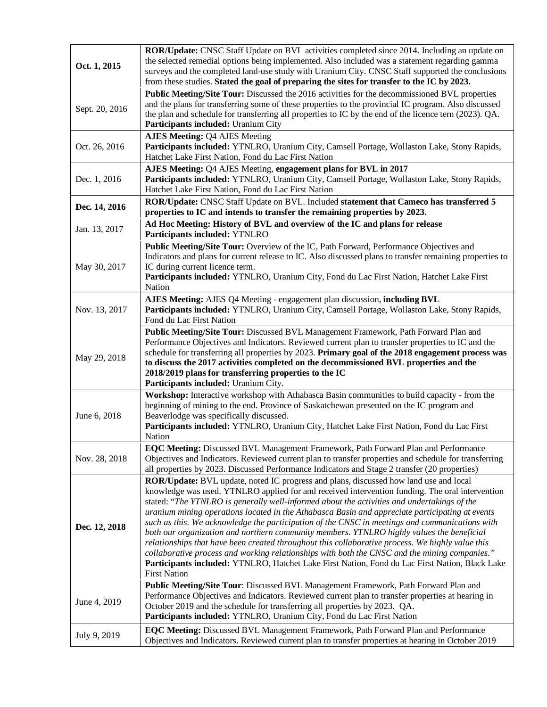| Oct. 1, 2015   | ROR/Update: CNSC Staff Update on BVL activities completed since 2014. Including an update on<br>the selected remedial options being implemented. Also included was a statement regarding gamma<br>surveys and the completed land-use study with Uranium City. CNSC Staff supported the conclusions<br>from these studies. Stated the goal of preparing the sites for transfer to the IC by 2023.                                                                                                                                                                                                                                                                                                                                                                                                                                                                                                                        |  |  |  |  |
|----------------|-------------------------------------------------------------------------------------------------------------------------------------------------------------------------------------------------------------------------------------------------------------------------------------------------------------------------------------------------------------------------------------------------------------------------------------------------------------------------------------------------------------------------------------------------------------------------------------------------------------------------------------------------------------------------------------------------------------------------------------------------------------------------------------------------------------------------------------------------------------------------------------------------------------------------|--|--|--|--|
| Sept. 20, 2016 | Public Meeting/Site Tour: Discussed the 2016 activities for the decommissioned BVL properties<br>and the plans for transferring some of these properties to the provincial IC program. Also discussed<br>the plan and schedule for transferring all properties to IC by the end of the licence tern (2023). QA.<br>Participants included: Uranium City                                                                                                                                                                                                                                                                                                                                                                                                                                                                                                                                                                  |  |  |  |  |
| Oct. 26, 2016  | <b>AJES Meeting: Q4 AJES Meeting</b><br>Participants included: YTNLRO, Uranium City, Camsell Portage, Wollaston Lake, Stony Rapids,<br>Hatchet Lake First Nation, Fond du Lac First Nation                                                                                                                                                                                                                                                                                                                                                                                                                                                                                                                                                                                                                                                                                                                              |  |  |  |  |
| Dec. 1, 2016   | AJES Meeting: Q4 AJES Meeting, engagement plans for BVL in 2017<br>Participants included: YTNLRO, Uranium City, Camsell Portage, Wollaston Lake, Stony Rapids,<br>Hatchet Lake First Nation, Fond du Lac First Nation                                                                                                                                                                                                                                                                                                                                                                                                                                                                                                                                                                                                                                                                                                   |  |  |  |  |
| Dec. 14, 2016  | ROR/Update: CNSC Staff Update on BVL. Included statement that Cameco has transferred 5<br>properties to IC and intends to transfer the remaining properties by 2023.                                                                                                                                                                                                                                                                                                                                                                                                                                                                                                                                                                                                                                                                                                                                                    |  |  |  |  |
| Jan. 13, 2017  | Ad Hoc Meeting: History of BVL and overview of the IC and plans for release<br>Participants included: YTNLRO                                                                                                                                                                                                                                                                                                                                                                                                                                                                                                                                                                                                                                                                                                                                                                                                            |  |  |  |  |
| May 30, 2017   | Public Meeting/Site Tour: Overview of the IC, Path Forward, Performance Objectives and<br>Indicators and plans for current release to IC. Also discussed plans to transfer remaining properties to<br>IC during current licence term.<br>Participants included: YTNLRO, Uranium City, Fond du Lac First Nation, Hatchet Lake First                                                                                                                                                                                                                                                                                                                                                                                                                                                                                                                                                                                      |  |  |  |  |
| Nov. 13, 2017  | Nation<br>AJES Meeting: AJES Q4 Meeting - engagement plan discussion, including BVL<br>Participants included: YTNLRO, Uranium City, Camsell Portage, Wollaston Lake, Stony Rapids,<br>Fond du Lac First Nation                                                                                                                                                                                                                                                                                                                                                                                                                                                                                                                                                                                                                                                                                                          |  |  |  |  |
| May 29, 2018   | Public Meeting/Site Tour: Discussed BVL Management Framework, Path Forward Plan and<br>Performance Objectives and Indicators. Reviewed current plan to transfer properties to IC and the<br>schedule for transferring all properties by 2023. Primary goal of the 2018 engagement process was<br>to discuss the 2017 activities completed on the decommissioned BVL properties and the<br>2018/2019 plans for transferring properties to the IC<br>Participants included: Uranium City.                                                                                                                                                                                                                                                                                                                                                                                                                                 |  |  |  |  |
|                | Workshop: Interactive workshop with Athabasca Basin communities to build capacity - from the                                                                                                                                                                                                                                                                                                                                                                                                                                                                                                                                                                                                                                                                                                                                                                                                                            |  |  |  |  |
| June 6, 2018   | beginning of mining to the end. Province of Saskatchewan presented on the IC program and<br>Beaverlodge was specifically discussed.<br>Participants included: YTNLRO, Uranium City, Hatchet Lake First Nation, Fond du Lac First<br>Nation                                                                                                                                                                                                                                                                                                                                                                                                                                                                                                                                                                                                                                                                              |  |  |  |  |
| Nov. 28, 2018  | EQC Meeting: Discussed BVL Management Framework, Path Forward Plan and Performance<br>Objectives and Indicators. Reviewed current plan to transfer properties and schedule for transferring<br>all properties by 2023. Discussed Performance Indicators and Stage 2 transfer (20 properties)                                                                                                                                                                                                                                                                                                                                                                                                                                                                                                                                                                                                                            |  |  |  |  |
| Dec. 12, 2018  | ROR/Update: BVL update, noted IC progress and plans, discussed how land use and local<br>knowledge was used. YTNLRO applied for and received intervention funding. The oral intervention<br>stated: "The YTNLRO is generally well-informed about the activities and undertakings of the<br>uranium mining operations located in the Athabasca Basin and appreciate participating at events<br>such as this. We acknowledge the participation of the CNSC in meetings and communications with<br>both our organization and northern community members. YTNLRO highly values the beneficial<br>relationships that have been created throughout this collaborative process. We highly value this<br>collaborative process and working relationships with both the CNSC and the mining companies."<br>Participants included: YTNLRO, Hatchet Lake First Nation, Fond du Lac First Nation, Black Lake<br><b>First Nation</b> |  |  |  |  |
| June 4, 2019   | Public Meeting/Site Tour: Discussed BVL Management Framework, Path Forward Plan and<br>Performance Objectives and Indicators. Reviewed current plan to transfer properties at hearing in<br>October 2019 and the schedule for transferring all properties by 2023. QA.<br>Participants included: YTNLRO, Uranium City, Fond du Lac First Nation                                                                                                                                                                                                                                                                                                                                                                                                                                                                                                                                                                         |  |  |  |  |
| July 9, 2019   | EQC Meeting: Discussed BVL Management Framework, Path Forward Plan and Performance<br>Objectives and Indicators. Reviewed current plan to transfer properties at hearing in October 2019                                                                                                                                                                                                                                                                                                                                                                                                                                                                                                                                                                                                                                                                                                                                |  |  |  |  |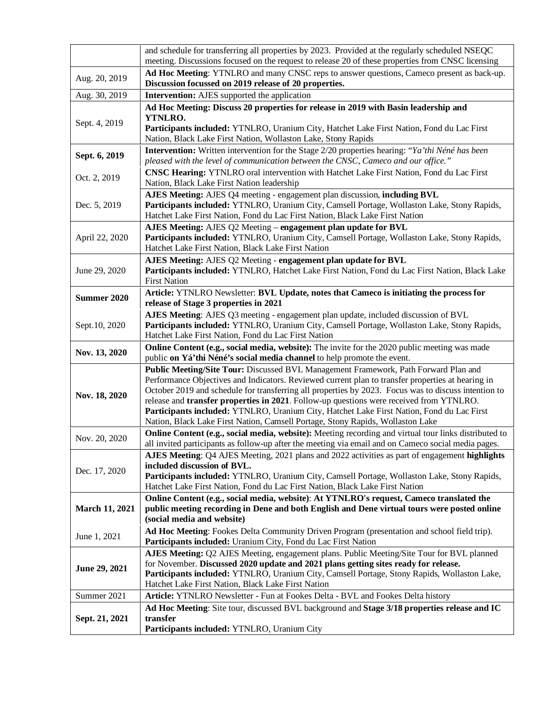|                       | and schedule for transferring all properties by 2023. Provided at the regularly scheduled NSEQC<br>meeting. Discussions focused on the request to release 20 of these properties from CNSC licensing                                                                                                                                                                                                                                                                                                                                                                       |  |  |  |  |  |
|-----------------------|----------------------------------------------------------------------------------------------------------------------------------------------------------------------------------------------------------------------------------------------------------------------------------------------------------------------------------------------------------------------------------------------------------------------------------------------------------------------------------------------------------------------------------------------------------------------------|--|--|--|--|--|
| Aug. 20, 2019         | Ad Hoc Meeting: YTNLRO and many CNSC reps to answer questions, Cameco present as back-up.<br>Discussion focussed on 2019 release of 20 properties.                                                                                                                                                                                                                                                                                                                                                                                                                         |  |  |  |  |  |
| Aug. 30, 2019         | <b>Intervention:</b> AJES supported the application                                                                                                                                                                                                                                                                                                                                                                                                                                                                                                                        |  |  |  |  |  |
|                       | Ad Hoc Meeting: Discuss 20 properties for release in 2019 with Basin leadership and                                                                                                                                                                                                                                                                                                                                                                                                                                                                                        |  |  |  |  |  |
| Sept. 4, 2019         | YTNLRO.<br>Participants included: YTNLRO, Uranium City, Hatchet Lake First Nation, Fond du Lac First<br>Nation, Black Lake First Nation, Wollaston Lake, Stony Rapids                                                                                                                                                                                                                                                                                                                                                                                                      |  |  |  |  |  |
| Sept. 6, 2019         | <b>Intervention:</b> Written intervention for the Stage 2/20 properties hearing: "Ya'thi Néné has been<br>pleased with the level of communication between the CNSC, Cameco and our office."                                                                                                                                                                                                                                                                                                                                                                                |  |  |  |  |  |
| Oct. 2, 2019          | CNSC Hearing: YTNLRO oral intervention with Hatchet Lake First Nation, Fond du Lac First<br>Nation, Black Lake First Nation leadership                                                                                                                                                                                                                                                                                                                                                                                                                                     |  |  |  |  |  |
| Dec. 5, 2019          | AJES Meeting: AJES Q4 meeting - engagement plan discussion, including BVL<br>Participants included: YTNLRO, Uranium City, Camsell Portage, Wollaston Lake, Stony Rapids,<br>Hatchet Lake First Nation, Fond du Lac First Nation, Black Lake First Nation                                                                                                                                                                                                                                                                                                                   |  |  |  |  |  |
| April 22, 2020        | AJES Meeting: AJES Q2 Meeting – engagement plan update for BVL<br>Participants included: YTNLRO, Uranium City, Camsell Portage, Wollaston Lake, Stony Rapids,<br>Hatchet Lake First Nation, Black Lake First Nation                                                                                                                                                                                                                                                                                                                                                        |  |  |  |  |  |
| June 29, 2020         | AJES Meeting: AJES Q2 Meeting - engagement plan update for BVL<br>Participants included: YTNLRO, Hatchet Lake First Nation, Fond du Lac First Nation, Black Lake<br><b>First Nation</b>                                                                                                                                                                                                                                                                                                                                                                                    |  |  |  |  |  |
| <b>Summer 2020</b>    | Article: YTNLRO Newsletter: BVL Update, notes that Cameco is initiating the process for<br>release of Stage 3 properties in 2021                                                                                                                                                                                                                                                                                                                                                                                                                                           |  |  |  |  |  |
| Sept.10, 2020         | AJES Meeting: AJES Q3 meeting - engagement plan update, included discussion of BVL<br>Participants included: YTNLRO, Uranium City, Camsell Portage, Wollaston Lake, Stony Rapids,<br>Hatchet Lake First Nation, Fond du Lac First Nation                                                                                                                                                                                                                                                                                                                                   |  |  |  |  |  |
| Nov. 13, 2020         | <b>Online Content (e.g., social media, website):</b> The invite for the 2020 public meeting was made<br>public on Yá'thi Néné's social media channel to help promote the event.                                                                                                                                                                                                                                                                                                                                                                                            |  |  |  |  |  |
| Nov. 18, 2020         | Public Meeting/Site Tour: Discussed BVL Management Framework, Path Forward Plan and<br>Performance Objectives and Indicators. Reviewed current plan to transfer properties at hearing in<br>October 2019 and schedule for transferring all properties by 2023. Focus was to discuss intention to<br>release and transfer properties in 2021. Follow-up questions were received from YTNLRO.<br>Participants included: YTNLRO, Uranium City, Hatchet Lake First Nation, Fond du Lac First<br>Nation, Black Lake First Nation, Camsell Portage, Stony Rapids, Wollaston Lake |  |  |  |  |  |
| Nov. 20, 2020         | Online Content (e.g., social media, website): Meeting recording and virtual tour links distributed to<br>all invited participants as follow-up after the meeting via email and on Cameco social media pages.                                                                                                                                                                                                                                                                                                                                                               |  |  |  |  |  |
| Dec. 17, 2020         | AJES Meeting: Q4 AJES Meeting, 2021 plans and 2022 activities as part of engagement highlights<br>included discussion of BVL.<br>Participants included: YTNLRO, Uranium City, Camsell Portage, Wollaston Lake, Stony Rapids,<br>Hatchet Lake First Nation, Fond du Lac First Nation, Black Lake First Nation                                                                                                                                                                                                                                                               |  |  |  |  |  |
| <b>March 11, 2021</b> | Online Content (e.g., social media, website): At YTNLRO's request, Cameco translated the<br>public meeting recording in Dene and both English and Dene virtual tours were posted online<br>(social media and website)                                                                                                                                                                                                                                                                                                                                                      |  |  |  |  |  |
| June 1, 2021          | Ad Hoc Meeting: Fookes Delta Community Driven Program (presentation and school field trip).<br>Participants included: Uranium City, Fond du Lac First Nation                                                                                                                                                                                                                                                                                                                                                                                                               |  |  |  |  |  |
| June 29, 2021         | AJES Meeting: Q2 AJES Meeting, engagement plans. Public Meeting/Site Tour for BVL planned<br>for November. Discussed 2020 update and 2021 plans getting sites ready for release.<br>Participants included: YTNLRO, Uranium City, Camsell Portage, Stony Rapids, Wollaston Lake,<br>Hatchet Lake First Nation, Black Lake First Nation                                                                                                                                                                                                                                      |  |  |  |  |  |
| Summer 2021           | Article: YTNLRO Newsletter - Fun at Fookes Delta - BVL and Fookes Delta history                                                                                                                                                                                                                                                                                                                                                                                                                                                                                            |  |  |  |  |  |
| Sept. 21, 2021        | Ad Hoc Meeting: Site tour, discussed BVL background and Stage 3/18 properties release and IC<br>transfer<br>Participants included: YTNLRO, Uranium City                                                                                                                                                                                                                                                                                                                                                                                                                    |  |  |  |  |  |
|                       |                                                                                                                                                                                                                                                                                                                                                                                                                                                                                                                                                                            |  |  |  |  |  |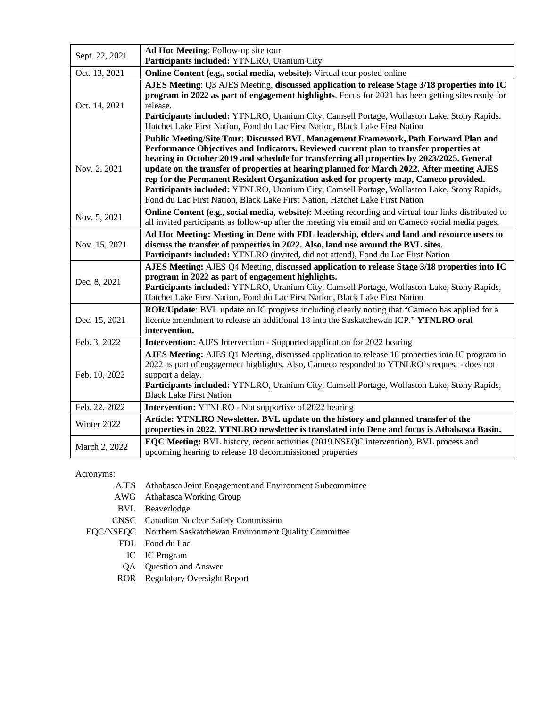| Sept. 22, 2021 | Ad Hoc Meeting: Follow-up site tour<br>Participants included: YTNLRO, Uranium City                                                                                                                                                                                                                                                                                                                                                                                                                                                                                                                                                               |  |  |  |  |
|----------------|--------------------------------------------------------------------------------------------------------------------------------------------------------------------------------------------------------------------------------------------------------------------------------------------------------------------------------------------------------------------------------------------------------------------------------------------------------------------------------------------------------------------------------------------------------------------------------------------------------------------------------------------------|--|--|--|--|
| Oct. 13, 2021  | Online Content (e.g., social media, website): Virtual tour posted online                                                                                                                                                                                                                                                                                                                                                                                                                                                                                                                                                                         |  |  |  |  |
| Oct. 14, 2021  | AJES Meeting: Q3 AJES Meeting, discussed application to release Stage 3/18 properties into IC<br>program in 2022 as part of engagement highlights. Focus for 2021 has been getting sites ready for<br>release.<br>Participants included: YTNLRO, Uranium City, Camsell Portage, Wollaston Lake, Stony Rapids,<br>Hatchet Lake First Nation, Fond du Lac First Nation, Black Lake First Nation                                                                                                                                                                                                                                                    |  |  |  |  |
| Nov. 2, 2021   | Public Meeting/Site Tour: Discussed BVL Management Framework, Path Forward Plan and<br>Performance Objectives and Indicators. Reviewed current plan to transfer properties at<br>hearing in October 2019 and schedule for transferring all properties by 2023/2025. General<br>update on the transfer of properties at hearing planned for March 2022. After meeting AJES<br>rep for the Permanent Resident Organization asked for property map, Cameco provided.<br>Participants included: YTNLRO, Uranium City, Camsell Portage, Wollaston Lake, Stony Rapids,<br>Fond du Lac First Nation, Black Lake First Nation, Hatchet Lake First Nation |  |  |  |  |
| Nov. 5, 2021   | Online Content (e.g., social media, website): Meeting recording and virtual tour links distributed to<br>all invited participants as follow-up after the meeting via email and on Cameco social media pages.                                                                                                                                                                                                                                                                                                                                                                                                                                     |  |  |  |  |
| Nov. 15, 2021  | Ad Hoc Meeting: Meeting in Dene with FDL leadership, elders and land and resource users to<br>discuss the transfer of properties in 2022. Also, land use around the BVL sites.<br>Participants included: YTNLRO (invited, did not attend), Fond du Lac First Nation                                                                                                                                                                                                                                                                                                                                                                              |  |  |  |  |
| Dec. 8, 2021   | AJES Meeting: AJES Q4 Meeting, discussed application to release Stage 3/18 properties into IC<br>program in 2022 as part of engagement highlights.<br>Participants included: YTNLRO, Uranium City, Camsell Portage, Wollaston Lake, Stony Rapids,<br>Hatchet Lake First Nation, Fond du Lac First Nation, Black Lake First Nation                                                                                                                                                                                                                                                                                                                |  |  |  |  |
| Dec. 15, 2021  | <b>ROR/Update:</b> BVL update on IC progress including clearly noting that "Cameco has applied for a<br>licence amendment to release an additional 18 into the Saskatchewan ICP." YTNLRO oral<br>intervention.                                                                                                                                                                                                                                                                                                                                                                                                                                   |  |  |  |  |
| Feb. 3, 2022   | <b>Intervention:</b> AJES Intervention - Supported application for 2022 hearing                                                                                                                                                                                                                                                                                                                                                                                                                                                                                                                                                                  |  |  |  |  |
| Feb. 10, 2022  | AJES Meeting: AJES Q1 Meeting, discussed application to release 18 properties into IC program in<br>2022 as part of engagement highlights. Also, Cameco responded to YTNLRO's request - does not<br>support a delay.<br>Participants included: YTNLRO, Uranium City, Camsell Portage, Wollaston Lake, Stony Rapids,<br><b>Black Lake First Nation</b>                                                                                                                                                                                                                                                                                            |  |  |  |  |
| Feb. 22, 2022  | <b>Intervention:</b> YTNLRO - Not supportive of 2022 hearing                                                                                                                                                                                                                                                                                                                                                                                                                                                                                                                                                                                     |  |  |  |  |
| Winter 2022    | Article: YTNLRO Newsletter. BVL update on the history and planned transfer of the<br>properties in 2022. YTNLRO newsletter is translated into Dene and focus is Athabasca Basin.                                                                                                                                                                                                                                                                                                                                                                                                                                                                 |  |  |  |  |
| March 2, 2022  | <b>EQC Meeting:</b> BVL history, recent activities (2019 NSEQC intervention), BVL process and<br>upcoming hearing to release 18 decommissioned properties                                                                                                                                                                                                                                                                                                                                                                                                                                                                                        |  |  |  |  |

#### Acronyms:

- AJES Athabasca Joint Engagement and Environment Subcommittee
- AWG Athabasca Working Group
- BVL Beaverlodge
- CNSC Canadian Nuclear Safety Commission
- EQC/NSEQC Northern Saskatchewan Environment Quality Committee
	- FDL Fond du Lac
		- IC IC Program
	- QA Question and Answer
	- ROR Regulatory Oversight Report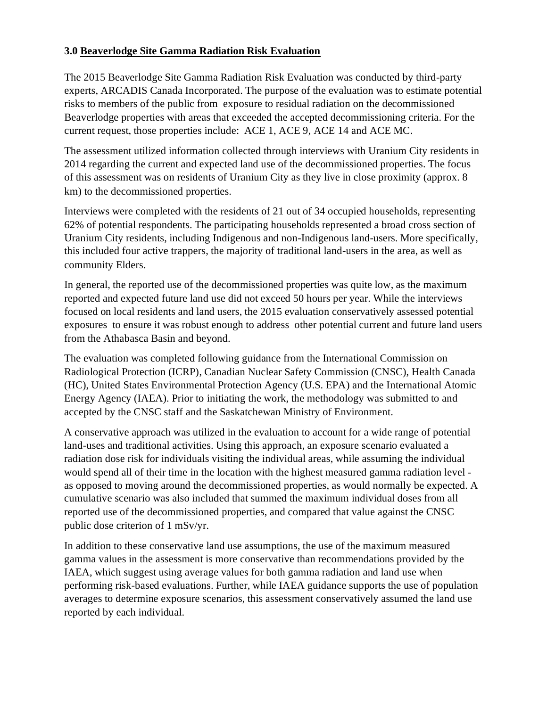#### **3.0 Beaverlodge Site Gamma Radiation Risk Evaluation**

The 2015 Beaverlodge Site Gamma Radiation Risk Evaluation was conducted by third-party experts, ARCADIS Canada Incorporated. The purpose of the evaluation was to estimate potential risks to members of the public from exposure to residual radiation on the decommissioned Beaverlodge properties with areas that exceeded the accepted decommissioning criteria. For the current request, those properties include: ACE 1, ACE 9, ACE 14 and ACE MC.

The assessment utilized information collected through interviews with Uranium City residents in 2014 regarding the current and expected land use of the decommissioned properties. The focus of this assessment was on residents of Uranium City as they live in close proximity (approx. 8 km) to the decommissioned properties.

Interviews were completed with the residents of 21 out of 34 occupied households, representing 62% of potential respondents. The participating households represented a broad cross section of Uranium City residents, including Indigenous and non-Indigenous land-users. More specifically, this included four active trappers, the majority of traditional land-users in the area, as well as community Elders.

In general, the reported use of the decommissioned properties was quite low, as the maximum reported and expected future land use did not exceed 50 hours per year. While the interviews focused on local residents and land users, the 2015 evaluation conservatively assessed potential exposures to ensure it was robust enough to address other potential current and future land users from the Athabasca Basin and beyond.

The evaluation was completed following guidance from the International Commission on Radiological Protection (ICRP), Canadian Nuclear Safety Commission (CNSC), Health Canada (HC), United States Environmental Protection Agency (U.S. EPA) and the International Atomic Energy Agency (IAEA). Prior to initiating the work, the methodology was submitted to and accepted by the CNSC staff and the Saskatchewan Ministry of Environment.

A conservative approach was utilized in the evaluation to account for a wide range of potential land-uses and traditional activities. Using this approach, an exposure scenario evaluated a radiation dose risk for individuals visiting the individual areas, while assuming the individual would spend all of their time in the location with the highest measured gamma radiation level as opposed to moving around the decommissioned properties, as would normally be expected. A cumulative scenario was also included that summed the maximum individual doses from all reported use of the decommissioned properties, and compared that value against the CNSC public dose criterion of 1 mSv/yr.

In addition to these conservative land use assumptions, the use of the maximum measured gamma values in the assessment is more conservative than recommendations provided by the IAEA, which suggest using average values for both gamma radiation and land use when performing risk-based evaluations. Further, while IAEA guidance supports the use of population averages to determine exposure scenarios, this assessment conservatively assumed the land use reported by each individual.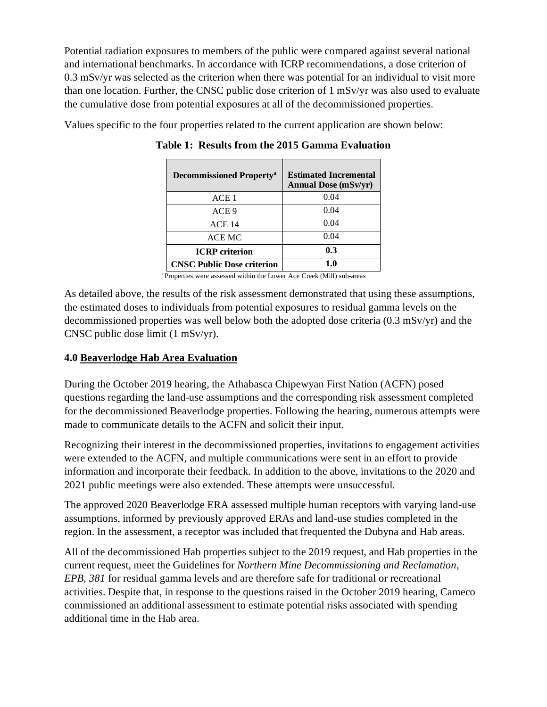Potential radiation exposures to members of the public were compared against several national and international benchmarks. In accordance with ICRP recommendations, a dose criterion of 0.3 mSv/yr was selected as the criterion when there was potential for an individual to visit more than one location. Further, the CNSC public dose criterion of 1 mSv/yr was also used to evaluate the cumulative dose from potential exposures at all of the decommissioned properties.

Values specific to the four properties related to the current application are shown below:

| <b>Decommissioned Property</b> <sup>a</sup> | <b>Estimated Incremental</b><br><b>Annual Dose (mSv/yr)</b> |
|---------------------------------------------|-------------------------------------------------------------|
| ACE 1                                       | 0.04                                                        |
| ACE 9                                       | 0.04                                                        |
| ACE <sub>14</sub>                           | 0.04                                                        |
| ACE MC                                      | 0.04                                                        |
| <b>ICRP</b> criterion                       | 0.3                                                         |
| <b>CNSC Public Dose criterion</b>           | 10                                                          |

**Table 1: Results from the 2015 Gamma Evaluation**

<sup>a</sup> Properties were assessed within the Lower Ace Creek (Mill) sub-areas

As detailed above, the results of the risk assessment demonstrated that using these assumptions, the estimated doses to individuals from potential exposures to residual gamma levels on the decommissioned properties was well below both the adopted dose criteria (0.3 mSv/yr) and the CNSC public dose limit (1 mSv/yr).

#### **4.0 Beaverlodge Hab Area Evaluation**

During the October 2019 hearing, the Athabasca Chipewyan First Nation (ACFN) posed questions regarding the land-use assumptions and the corresponding risk assessment completed for the decommissioned Beaverlodge properties. Following the hearing, numerous attempts were made to communicate details to the ACFN and solicit their input.

Recognizing their interest in the decommissioned properties, invitations to engagement activities were extended to the ACFN, and multiple communications were sent in an effort to provide information and incorporate their feedback. In addition to the above, invitations to the 2020 and 2021 public meetings were also extended. These attempts were unsuccessful.

The approved 2020 Beaverlodge ERA assessed multiple human receptors with varying land-use assumptions, informed by previously approved ERAs and land-use studies completed in the region. In the assessment, a receptor was included that frequented the Dubyna and Hab areas.

All of the decommissioned Hab properties subject to the 2019 request, and Hab properties in the current request, meet the Guidelines for *Northern Mine Decommissioning and Reclamation, EPB, 381* for residual gamma levels and are therefore safe for traditional or recreational activities. Despite that, in response to the questions raised in the October 2019 hearing, Cameco commissioned an additional assessment to estimate potential risks associated with spending additional time in the Hab area.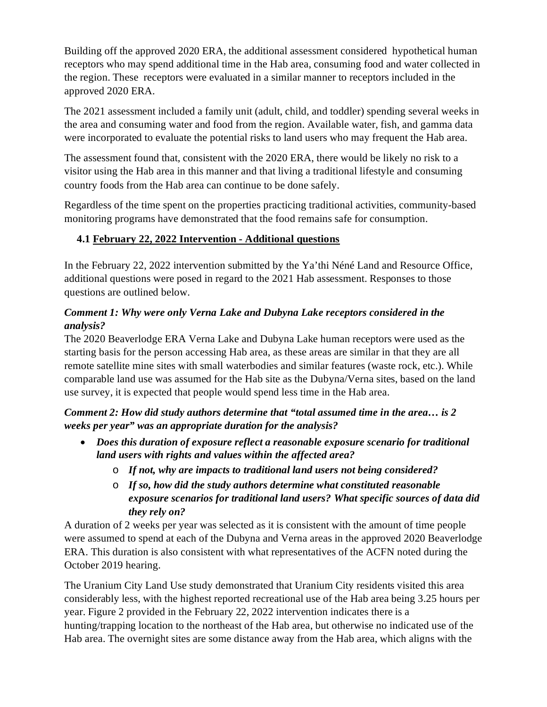Building off the approved 2020 ERA, the additional assessment considered hypothetical human receptors who may spend additional time in the Hab area, consuming food and water collected in the region. These receptors were evaluated in a similar manner to receptors included in the approved 2020 ERA.

The 2021 assessment included a family unit (adult, child, and toddler) spending several weeks in the area and consuming water and food from the region. Available water, fish, and gamma data were incorporated to evaluate the potential risks to land users who may frequent the Hab area.

The assessment found that, consistent with the 2020 ERA, there would be likely no risk to a visitor using the Hab area in this manner and that living a traditional lifestyle and consuming country foods from the Hab area can continue to be done safely.

Regardless of the time spent on the properties practicing traditional activities, community-based monitoring programs have demonstrated that the food remains safe for consumption.

## **4.1 February 22, 2022 Intervention - Additional questions**

In the February 22, 2022 intervention submitted by the Ya'thi Néné Land and Resource Office, additional questions were posed in regard to the 2021 Hab assessment. Responses to those questions are outlined below.

## *Comment 1: Why were only Verna Lake and Dubyna Lake receptors considered in the analysis?*

The 2020 Beaverlodge ERA Verna Lake and Dubyna Lake human receptors were used as the starting basis for the person accessing Hab area, as these areas are similar in that they are all remote satellite mine sites with small waterbodies and similar features (waste rock, etc.). While comparable land use was assumed for the Hab site as the Dubyna/Verna sites, based on the land use survey, it is expected that people would spend less time in the Hab area.

*Comment 2: How did study authors determine that "total assumed time in the area… is 2 weeks per year" was an appropriate duration for the analysis?*

- *Does this duration of exposure reflect a reasonable exposure scenario for traditional land users with rights and values within the affected area?*
	- o *If not, why are impacts to traditional land users not being considered?*
	- o *If so, how did the study authors determine what constituted reasonable exposure scenarios for traditional land users? What specific sources of data did they rely on?*

A duration of 2 weeks per year was selected as it is consistent with the amount of time people were assumed to spend at each of the Dubyna and Verna areas in the approved 2020 Beaverlodge ERA. This duration is also consistent with what representatives of the ACFN noted during the October 2019 hearing.

The Uranium City Land Use study demonstrated that Uranium City residents visited this area considerably less, with the highest reported recreational use of the Hab area being 3.25 hours per year. Figure 2 provided in the February 22, 2022 intervention indicates there is a hunting/trapping location to the northeast of the Hab area, but otherwise no indicated use of the Hab area. The overnight sites are some distance away from the Hab area, which aligns with the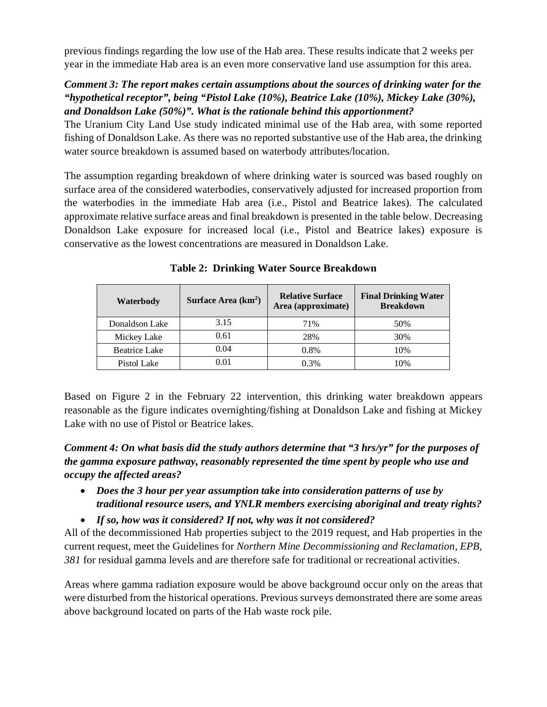previous findings regarding the low use of the Hab area. These results indicate that 2 weeks per year in the immediate Hab area is an even more conservative land use assumption for this area.

#### *Comment 3: The report makes certain assumptions about the sources of drinking water for the "hypothetical receptor", being "Pistol Lake (10%), Beatrice Lake (10%), Mickey Lake (30%), and Donaldson Lake (50%)". What is the rationale behind this apportionment?*

The Uranium City Land Use study indicated minimal use of the Hab area, with some reported fishing of Donaldson Lake. As there was no reported substantive use of the Hab area, the drinking water source breakdown is assumed based on waterbody attributes/location.

The assumption regarding breakdown of where drinking water is sourced was based roughly on surface area of the considered waterbodies, conservatively adjusted for increased proportion from the waterbodies in the immediate Hab area (i.e., Pistol and Beatrice lakes). The calculated approximate relative surface areas and final breakdown is presented in the table below. Decreasing Donaldson Lake exposure for increased local (i.e., Pistol and Beatrice lakes) exposure is conservative as the lowest concentrations are measured in Donaldson Lake.

| Waterbody            | Surface Area $(km2)$ | <b>Relative Surface</b><br>Area (approximate) | <b>Final Drinking Water</b><br><b>Breakdown</b> |
|----------------------|----------------------|-----------------------------------------------|-------------------------------------------------|
| Donaldson Lake       | 3.15                 | 71%                                           | 50%                                             |
| Mickey Lake          | 0.61                 | 28%                                           | 30%                                             |
| <b>Beatrice Lake</b> | 0.04                 | 0.8%                                          | 10%                                             |
| Pistol Lake          | 0.01                 | 0.3%                                          | 10%                                             |

**Table 2: Drinking Water Source Breakdown**

Based on Figure 2 in the February 22 intervention, this drinking water breakdown appears reasonable as the figure indicates overnighting/fishing at Donaldson Lake and fishing at Mickey Lake with no use of Pistol or Beatrice lakes.

*Comment 4: On what basis did the study authors determine that "3 hrs/yr" for the purposes of the gamma exposure pathway, reasonably represented the time spent by people who use and occupy the affected areas?*

- *Does the 3 hour per year assumption take into consideration patterns of use by traditional resource users, and YNLR members exercising aboriginal and treaty rights?*
- *If so, how was it considered? If not, why was it not considered?*

All of the decommissioned Hab properties subject to the 2019 request, and Hab properties in the current request, meet the Guidelines for *Northern Mine Decommissioning and Reclamation, EPB, 381* for residual gamma levels and are therefore safe for traditional or recreational activities.

Areas where gamma radiation exposure would be above background occur only on the areas that were disturbed from the historical operations. Previous surveys demonstrated there are some areas above background located on parts of the Hab waste rock pile.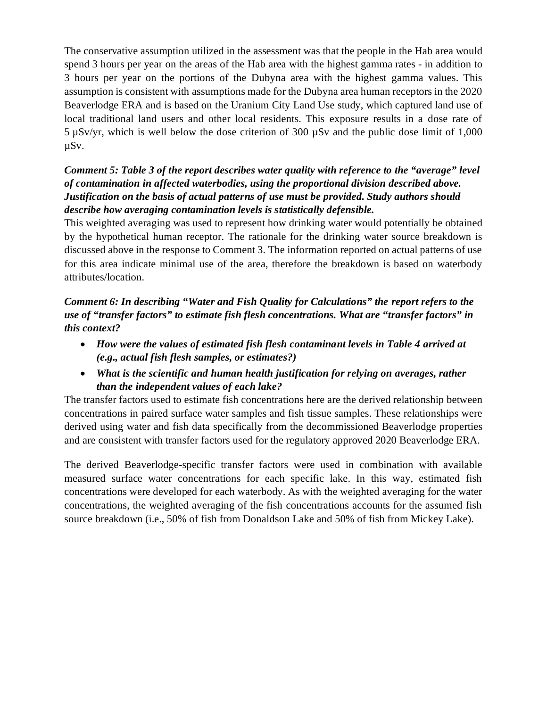The conservative assumption utilized in the assessment was that the people in the Hab area would spend 3 hours per year on the areas of the Hab area with the highest gamma rates - in addition to 3 hours per year on the portions of the Dubyna area with the highest gamma values. This assumption is consistent with assumptions made for the Dubyna area human receptors in the 2020 Beaverlodge ERA and is based on the Uranium City Land Use study, which captured land use of local traditional land users and other local residents. This exposure results in a dose rate of 5 µSv/yr, which is well below the dose criterion of 300 µSv and the public dose limit of 1,000 µSv.

## *Comment 5: Table 3 of the report describes water quality with reference to the "average" level of contamination in affected waterbodies, using the proportional division described above. Justification on the basis of actual patterns of use must be provided. Study authors should describe how averaging contamination levels is statistically defensible.*

This weighted averaging was used to represent how drinking water would potentially be obtained by the hypothetical human receptor. The rationale for the drinking water source breakdown is discussed above in the response to Comment 3. The information reported on actual patterns of use for this area indicate minimal use of the area, therefore the breakdown is based on waterbody attributes/location.

#### *Comment 6: In describing "Water and Fish Quality for Calculations" the report refers to the use of "transfer factors" to estimate fish flesh concentrations. What are "transfer factors" in this context?*

- *How were the values of estimated fish flesh contaminant levels in Table 4 arrived at (e.g., actual fish flesh samples, or estimates?)*
- *What is the scientific and human health justification for relying on averages, rather than the independent values of each lake?*

The transfer factors used to estimate fish concentrations here are the derived relationship between concentrations in paired surface water samples and fish tissue samples. These relationships were derived using water and fish data specifically from the decommissioned Beaverlodge properties and are consistent with transfer factors used for the regulatory approved 2020 Beaverlodge ERA.

The derived Beaverlodge-specific transfer factors were used in combination with available measured surface water concentrations for each specific lake. In this way, estimated fish concentrations were developed for each waterbody. As with the weighted averaging for the water concentrations, the weighted averaging of the fish concentrations accounts for the assumed fish source breakdown (i.e., 50% of fish from Donaldson Lake and 50% of fish from Mickey Lake).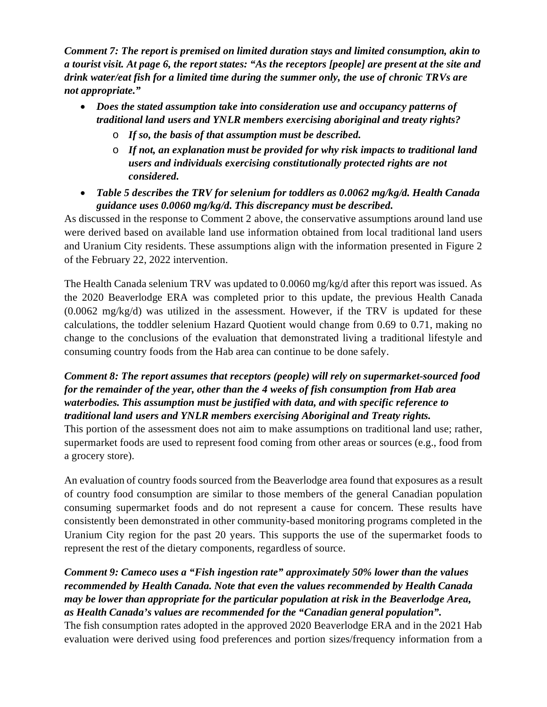*Comment 7: The report is premised on limited duration stays and limited consumption, akin to a tourist visit. At page 6, the report states: "As the receptors [people] are present at the site and drink water/eat fish for a limited time during the summer only, the use of chronic TRVs are not appropriate."*

- *Does the stated assumption take into consideration use and occupancy patterns of traditional land users and YNLR members exercising aboriginal and treaty rights?*
	- o *If so, the basis of that assumption must be described.*
	- o *If not, an explanation must be provided for why risk impacts to traditional land users and individuals exercising constitutionally protected rights are not considered.*
- *Table 5 describes the TRV for selenium for toddlers as 0.0062 mg/kg/d. Health Canada guidance uses 0.0060 mg/kg/d. This discrepancy must be described.*

As discussed in the response to Comment 2 above, the conservative assumptions around land use were derived based on available land use information obtained from local traditional land users and Uranium City residents. These assumptions align with the information presented in Figure 2 of the February 22, 2022 intervention.

The Health Canada selenium TRV was updated to 0.0060 mg/kg/d after this report was issued. As the 2020 Beaverlodge ERA was completed prior to this update, the previous Health Canada (0.0062 mg/kg/d) was utilized in the assessment. However, if the TRV is updated for these calculations, the toddler selenium Hazard Quotient would change from 0.69 to 0.71, making no change to the conclusions of the evaluation that demonstrated living a traditional lifestyle and consuming country foods from the Hab area can continue to be done safely.

#### *Comment 8: The report assumes that receptors (people) will rely on supermarket-sourced food for the remainder of the year, other than the 4 weeks of fish consumption from Hab area waterbodies. This assumption must be justified with data, and with specific reference to traditional land users and YNLR members exercising Aboriginal and Treaty rights.*

This portion of the assessment does not aim to make assumptions on traditional land use; rather, supermarket foods are used to represent food coming from other areas or sources (e.g., food from a grocery store).

An evaluation of country foods sourced from the Beaverlodge area found that exposures as a result of country food consumption are similar to those members of the general Canadian population consuming supermarket foods and do not represent a cause for concern. These results have consistently been demonstrated in other community-based monitoring programs completed in the Uranium City region for the past 20 years. This supports the use of the supermarket foods to represent the rest of the dietary components, regardless of source.

## *Comment 9: Cameco uses a "Fish ingestion rate" approximately 50% lower than the values recommended by Health Canada. Note that even the values recommended by Health Canada may be lower than appropriate for the particular population at risk in the Beaverlodge Area, as Health Canada's values are recommended for the "Canadian general population".*

The fish consumption rates adopted in the approved 2020 Beaverlodge ERA and in the 2021 Hab evaluation were derived using food preferences and portion sizes/frequency information from a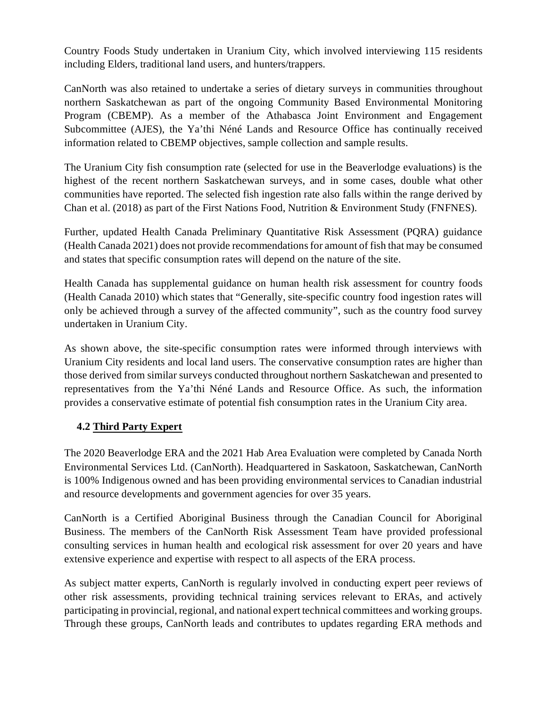Country Foods Study undertaken in Uranium City, which involved interviewing 115 residents including Elders, traditional land users, and hunters/trappers.

CanNorth was also retained to undertake a series of dietary surveys in communities throughout northern Saskatchewan as part of the ongoing Community Based Environmental Monitoring Program (CBEMP). As a member of the Athabasca Joint Environment and Engagement Subcommittee (AJES), the Ya'thi Néné Lands and Resource Office has continually received information related to CBEMP objectives, sample collection and sample results.

The Uranium City fish consumption rate (selected for use in the Beaverlodge evaluations) is the highest of the recent northern Saskatchewan surveys, and in some cases, double what other communities have reported. The selected fish ingestion rate also falls within the range derived by Chan et al. (2018) as part of the First Nations Food, Nutrition & Environment Study (FNFNES).

Further, updated Health Canada Preliminary Quantitative Risk Assessment (PQRA) guidance (Health Canada 2021) does not provide recommendations for amount of fish that may be consumed and states that specific consumption rates will depend on the nature of the site.

Health Canada has supplemental guidance on human health risk assessment for country foods (Health Canada 2010) which states that "Generally, site-specific country food ingestion rates will only be achieved through a survey of the affected community", such as the country food survey undertaken in Uranium City.

As shown above, the site-specific consumption rates were informed through interviews with Uranium City residents and local land users. The conservative consumption rates are higher than those derived from similar surveys conducted throughout northern Saskatchewan and presented to representatives from the Ya'thi Néné Lands and Resource Office. As such, the information provides a conservative estimate of potential fish consumption rates in the Uranium City area.

#### **4.2 Third Party Expert**

The 2020 Beaverlodge ERA and the 2021 Hab Area Evaluation were completed by Canada North Environmental Services Ltd. (CanNorth). Headquartered in Saskatoon, Saskatchewan, CanNorth is 100% Indigenous owned and has been providing environmental services to Canadian industrial and resource developments and government agencies for over 35 years.

CanNorth is a Certified Aboriginal Business through the Canadian Council for Aboriginal Business. The members of the CanNorth Risk Assessment Team have provided professional consulting services in human health and ecological risk assessment for over 20 years and have extensive experience and expertise with respect to all aspects of the ERA process.

As subject matter experts, CanNorth is regularly involved in conducting expert peer reviews of other risk assessments, providing technical training services relevant to ERAs, and actively participating in provincial, regional, and national expert technical committees and working groups. Through these groups, CanNorth leads and contributes to updates regarding ERA methods and